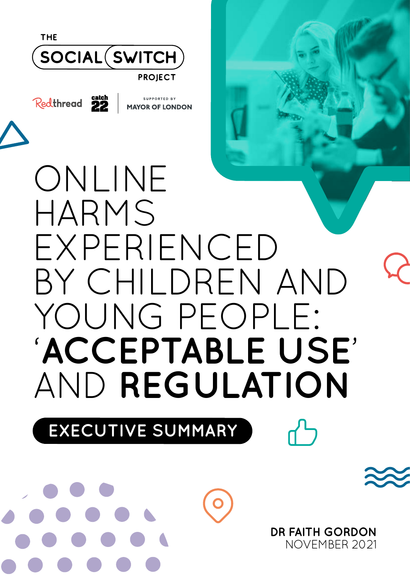

# HARMS EXPERIENCED BY CHILDREN AND YOUNG PEOPLE: '**ACCEPTABLE USE**' AND **REGULATION**

**EXECUTIVE SUMMARY** 

/ ...

\*\*\*\*\*

••••••

I recent the second contract of

**DR FAITH GORDON**  NOVEMBER 2021

 $\overline{\phantom{a}}$ 

Q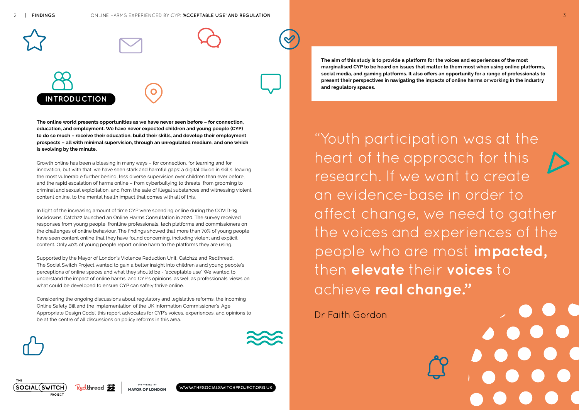**The aim of this study is to provide a platform for the voices and experiences of the most marginalised CYP to be heard on issues that matter to them most when using online platforms, social media, and gaming platforms. It also offers an opportunity for a range of professionals to present their perspectives in navigating the impacts of online harms or working in the industry and regulatory spaces.** 

 $\mathcal{B}$ **INTRODUCTION** 



**WWW.THESOCIALSWITCHPROJECT.ORG.UK**

Co







**| FINDINGS** 

**The online world presents opportunities as we have never seen before – for connection, education, and employment. We have never expected children and young people (CYP) to do so much – receive their education, build their skills, and develop their employment prospects – all with minimal supervision, through an unregulated medium, and one which is evolving by the minute.** 

Growth online has been a blessing in many ways – for connection, for learning and for innovation, but with that, we have seen stark and harmful gaps: a digital divide in skills, leaving the most vulnerable further behind, less diverse supervision over children than ever before, and the rapid escalation of harms online – from cyberbullying to threats, from grooming to criminal and sexual exploitation, and from the sale of illegal substances and witnessing violent content online, to the mental health impact that comes with all of this.

Considering the ongoing discussions about regulatory and legislative reforms, the incoming Online Safety Bill and the implementation of the UK Information Commissioner's 'Age Appropriate Design Code', this report advocates for CYP's voices, experiences, and opinions to be at the centre of all discussions on policy reforms in this area.



 understand the impact of online harms, and CYP's opinions, as well as professionals' views on what could be developed to ensure CYP can safely thrive online. Supported by the Mayor of London's Violence Reduction Unit, Catch22 and Redthread, The Social Switch Project wanted to gain a better insight into children's and young people's perceptions of online spaces and what they should be - 'acceptable use'. We wanted to

 $\triangleright$ "Youth participation was at the heart of the approach for this research. If we want to create an evidence-base in order to affect change, we need to gather the voices and experiences of the people who are most **impacted,**  then **elevate** their **voices** to achieve **real change."** 

In light of the increasing amount of time CYP were spending online during the COVID-19 lockdowns, Catch22 launched an Online Harms Consultation in 2020. The survey received responses from young people, frontline professionals, tech platforms and commissioners on the challenges of online behaviour. The findings showed that more than 70% of young people have seen content online that they have found concerning, including violent and explicit content. Only 40% of young people report online harm to the platforms they are using.

Dr Faith Gordon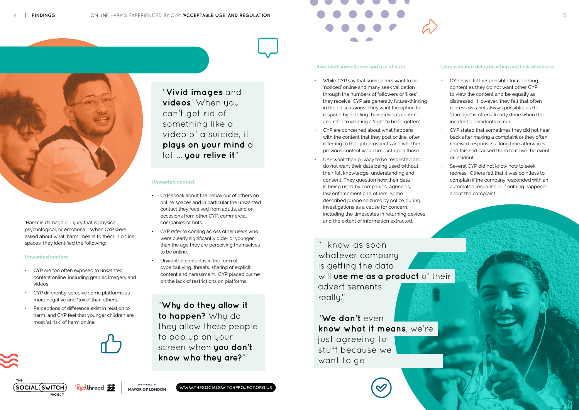"**Vivid images** and **videos**. When you can't get rid of something like a video of a suicide, it **plays on your mind** a lot … **you relive it**"

"**Why do they allow it to happen?** Why do they allow these people to pop up on your screen when **you don't know who they are?**"

"I know as soon whatever company is getting the data will **use me as a product** of their advertisements really."

"**We don't** even **know what it means**, we're just agreeing to stuff because we want to ge

SUPPORTED BY **MAYOR OF LONDON** 







'Harm' is damage or injury that is physical, psychological, or emotional. When CYP were asked about what 'harm' means to them in online spaces, they identified the following:

### **Unwanted content**

- CYP are too often exposed to unwanted content online, including graphic imagery and videos.
- CYP differently perceive some platforms as more negative and "toxic" than others.
- Perceptions of difference exist in relation to harm, and CYP feel that younger children are most 'at risk' of harm online.



### **Unwanted contact**

- While CYP say that some peers want to be 'noticed' online and many seek validation through the numbers of followers or 'likes' they receive, CYP are generally future-thinking in their discussions. They want the option to respond by deleting their previous content and refer to wanting a 'right to be forgotten'.
- CYP are concerned about what happens with the content that they post online, often referring to their job prospects and whether previous content would impact upon those.
- CYP want their privacy to be respected and do not want their data being used without their full knowledge, understanding and consent. They question how their data is being used by companies, agencies, law enforcement and others. Some described phone seizures by police during investigations as a cause for concern, including the timescales in returning devices and the extent of information extracted.
- CYP speak about the behaviour of others on online spaces and in particular the unwanted contact they received from adults, and on occasions from other CYP, commercial companies or bots.
- were clearly significantly older or younger • CYP refer to coming across other users who than the age they are perceiving themselves to be online.
- Unwanted contact is in the form of cyberbullying, threats, sharing of explicit content and harassment. CYP placed blame on the lack of restrictions on platforms.
- incident or incidents occur. • CYP have felt responsible for reporting content as they do not want other CYP to view the content and be equally as distressed. However, they felt that often redress was not always possible, as the "damage" is often already done when the
- CYP stated that sometimes they did not hear back after making a complaint or they often received responses a long time afterwards and this had caused them to relive the event or incident.
- Several CYP did not know how to seek redress. Others felt that it was pointless to complain if the company responded with an automated response or if nothing happened about the complaint.



#### **Unwanted surveillance and use of data**

### **Unreasonable delay in action and lack of redress**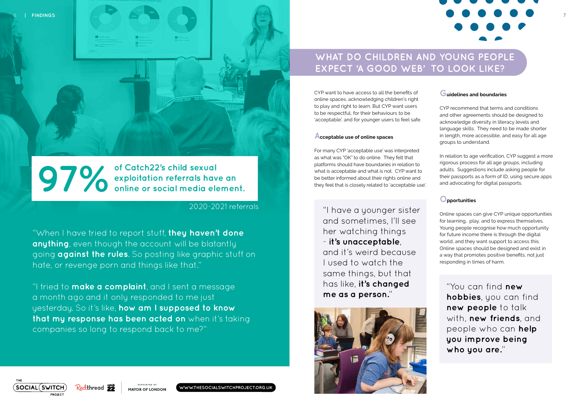"You can find **new hobbies**, you can find **new people** to talk with, **new friends**, and people who can **help you improve being who you are.**"

6 **| FINDINGS** 

**of Catch22's child sexual exploitation referrals have an online or social media element.** 

2020-2021 referrals



SUPPORTED BY **MAYOR OF LONDON** 

# . .,.,.,.,.,. ----~---,

"When I have tried to report stuff, **they haven't done anything**, even though the account will be blatantly going **against the rules**. So posting like graphic stuff on hate, or revenge porn and things like that."

"I tried to **make a complaint**, and I sent a message a month ago and it only responded to me just yesterday. So it's like, **how am I supposed to know that my response has been acted on** when it's taking companies so long to respond back to me?"

# **WHAT DO CHILDREN AND YOUNG PEOPLE EXPECT 'A GOOD WEB' TO LOOK LIKE?**

CYP want to have access to all the benefits of online spaces, acknowledging children's right to play and right to learn. But CYP want users to be respectful, for their behaviours to be 'acceptable', and for younger users to feel safe.

# **Acceptable use of online spaces**

For many CYP 'acceptable use' was interpreted as what was "OK" to do online. They felt that platforms should have boundaries in relation to what is acceptable and what is not. CYP want to be better informed about their rights online and they feel that is closely related to 'acceptable use'.

> responding in times of harm. Online spaces can give CYP unique opportunities for learning, play, and to express themselves. Young people recognise how much opportunity for future income there is through the digital world, and they want support to access this. Online spaces should be designed and exist in a way that promotes positive benefits, not just

# **Guidelines and boundaries**

CYP recommend that terms and conditions and other agreements should be designed to acknowledge diversity in literacy levels and language skills. They need to be made shorter in length, more accessible, and easy for all age groups to understand.

"I have a younger sister and sometimes, I'll see her watching things - **it's unacceptable**, and it's weird because I used to watch the same things, but that has like, **it's changed me as a person.**"



In relation to age verification, CYP suggest a more rigorous process for all age groups, including adults. Suggestions include asking people for their passports as a form of ID, using secure apps and advocating for digital passports.

# **Opportunities**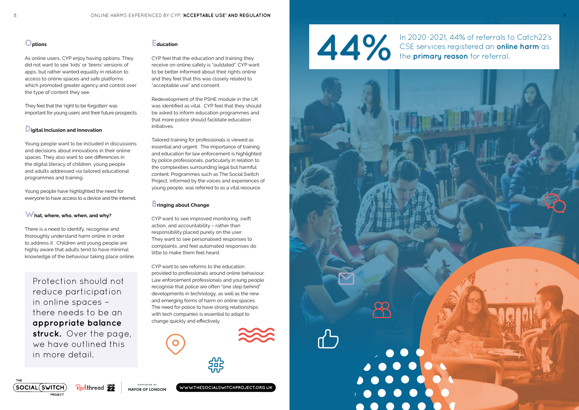# **Options**

As online users, CYP enjoy having options. They did not want to see 'kids' or 'teens' versions of apps, but rather wanted equality in relation to access to online spaces and safe platforms which promoted greater agency and control over the type of content they see.

They feel that the 'right to be forgotten' was important for young users and their future prospects.

# **Digital Inclusion and Innovation**

CYP feel that the education and training they receive on online safety is "outdated". CYP want to be better informed about their rights online and they feel that this was closely related to "acceptable use" and consent. receive on online safety is "outdated". CYP<br>to be better informed about their rights on<br>and they feel that this was closely related i<br>"acceptable use" and consent.<br>Redevelopment of the PSHE module in the<br>was identified as

Young people want to be included in discussions and decisions about innovations in their online spaces. They also want to see differences in the digital literacy of children, young people and adults addressed via tailored educational programmes and training.

Young people have highlighted the need for everyone to have access to a device and the internet.

# **What, where, who, when, and why?**

There is a need to identify, recognise and thoroughly understand harm online in order to address it. Children and young people are highly aware that adults tend to have minimal knowledge of the behaviour taking place online.

## **Education**

CYP want to see reforms to the education provided to professionals around online behaviour. Law enforcement professionals and young people recognise that police are often "one step behind" developments in technology, as well as the new and emerging forms of harm on online spaces. The need for police to have strong relationships with tech companies is essential to adapt to change quickly and effectively. tionships<br>apt to<br>**and the contract of the contract of the contract of the contract of the contract of the contract of the contract of** 



Redevelopment of the PSHE module in the UK was identified as vital. CYP feel that they should be asked to inform education programmes and that more police should facilitate education initiatives.

Tailored training for professionals is viewed as essential and urgent. The importance of training and education for law enforcement is highlighted by police professionals, particularly in relation to the complexities surrounding legal but harmful content. Programmes such as The Social Switch Project, informed by the voices and experiences of young people, was referred to as a vital resource.

## **Bringing about Change**

CYP want to see improved monitoring, swift action, and accountability – rather than responsibility placed purely on the user. They want to see personalised responses to complaints, and feel automated responses do little to make them feel heard.

Protection should not reduce participation in online spaces – there needs to be an **appropriate balance struck.** Over the page, we have outlined this in more detail.

In 2020-2021, 44% of referrals to Catch22's CSE services registered an **online harm** as



**WWW.THESOCIALSWITCHPROJECT.ORG.UK**



**44% of referrals to CSE services registered an online the primary reason** for referral.







Redthread 22

SUPPORTED BY MAYOR OF LONDON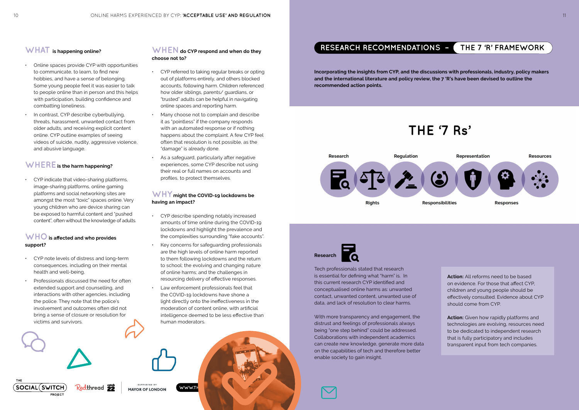Tech professionals stated that research is essential for defining what "harm" is. In this current research CYP identified and conceptualised online harms as: unwanted contact, unwanted content, unwanted use of data, and lack of resolution to clear harms.

With more transparency and engagement, the distrust and feelings of professionals always being "one step behind" could be addressed. Collaborations with independent academics can create new knowledge, generate more data on the capabilities of tech and therefore better enable society to gain insight.

# **RESEARCH RECOMMENDATIONS – THE 7 'R' FRAMEWORK**

# **Research**

**Incorporating the insights from CYP, and the discussions with professionals, industry, policy makers and the international literature and policy review, the 7 'R's have been devised to outline the recommended action points.** 

**Action:** All reforms need to be based on evidence. For those that affect CYP, children and young people should be effectively consulted. Evidence about CYP should come from CYP.

**Action:** Given how rapidly platforms and technologies are evolving, resources need to be dedicated to independent research that is fully participatory and includes transparent input from tech companies.



THE

- Online spaces provide CYP with opportunities to communicate, to learn, to find new hobbies, and have a sense of belonging. Some young people feel it was easier to talk to people online than in person and this helps with participation, building confidence and combatting loneliness.
- In contrast, CYP describe cyberbullying, threats, harassment, unwanted contact from older adults, and receiving explicit content online. CYP outline examples of seeing videos of suicide, nudity, aggressive violence, and abusive language.

# **WHEREis the harm happening?**

- health and well-being. • CYP note levels of distress and long-term consequences, including on their mental
- Professionals discussed the need for often extended support and counselling, and interactions with other agencies, including the police. They note that the police's involvement and outcomes often did not bring a sense of closure or resolution for victims and survivors.

**SOCIAL (SWITCH)** Redthread **22** MAYOR OF LONDON

**PROJECT** 

# **WHAT is happening online? WHEN do CYP respond and when do they choose not to?**

• CYP indicate that video-sharing platforms, image-sharing platforms, online gaming platforms and social networking sites are amongst the most "toxic" spaces online. Very young children who are device sharing can be exposed to harmful content and "pushed content", often without the knowledge of adults.

# **WHO is affected and who provides support?**

- CYP referred to taking regular breaks or opting out of platforms entirely, and others blocked accounts, following harm. Children referenced how older siblings, parents/ guardians, or "trusted" adults can be helpful in navigating online spaces and reporting harm.
- Many choose not to complain and describe it as "pointless" if the company responds with an automated response or if nothing happens about the complaint. A few CYP feel often that resolution is not possible, as the "damage" is already done.
- profiles, to protect themselves. As a safeguard, particularly after negative experiences, some CYP describe not using their real or full names on accounts and

# **WHY might the COVID-19 lockdowns be having an impact?**

- CYP describe spending notably increased amounts of time online during the COVID-19 lockdowns and highlight the prevalence and the complexities surrounding "fake accounts".
- Key concerns for safeguarding professionals are the high levels of online harm reported to them following lockdowns and the return to school; the evolving and changing nature of online harms; and the challenges in resourcing delivery of effective responses.
- Law enforcement professionals feel that the COVID-19 lockdowns have shone a light directly onto the ineffectiveness in the moderation of content online, with artificial intelligence deemed to be less effective than human moderators.

WWW.TH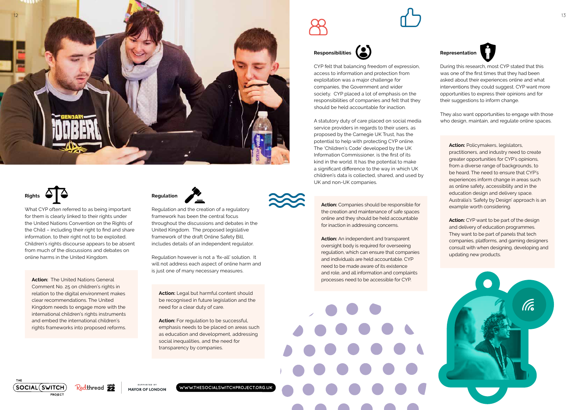**Action:** Policymakers, legislators, practitioners, and industry need to create greater opportunities for CYP's opinions, from a diverse range of backgrounds, to be heard. The need to ensure that CYP's experiences inform change in areas such as online safety, accessibility and in the education design and delivery space. Australia's 'Safety by Design' approach is an example worth considering.

**Action:** CYP want to be part of the design and delivery of education programmes. They want to be part of panels that tech companies, platforms, and gaming designers consult with when designing, developing and updating new products.



They also want opportunities to engage with those who design, maintain, and regulate online spaces.



CYP felt that balancing freedom of expression, access to information and protection from exploitation was a major challenge for companies, the Government and wider society. CYP placed a lot of emphasis on the responsibilities of companies and felt that they should be held accountable for inaction.

### **Representation**



**Representation**<br>
During this research, most CYP stated that this was one of the first times that they had been asked about their experiences online and what interventions they could suggest. CYP want more opportunities to express their opinions and for their suggestions to inform change. **Representation**<br>
ancing freedom of expression,<br>
ation and protection from<br>
a major challenge for<br>
a major challenge for<br>
a major challenge for<br>
a major challenge for<br>
a sked about their experiences online and what<br>
interv

Action: For regulation to be successful, emphasis needs to be placed on areas such as education and development, addressing social inequalities, and the need for transparency by companies.



A statutory duty of care placed on social media service providers in regards to their users, as proposed by the Carnegie UK Trust, has the potential to help with protecting CYP online. The 'Children's Code' developed by the UK Information Commissioner, is the first of its kind in the world. It has the potential to make a significant difference to the way in which UK children's data is collected, shared, and used by UK and non-UK companies.

**WWW.THESOCIALSWITCHPROJECT.ORG.UK**







/ ••• ~····~ •••••• , ...... •••••••





 includes details of an independent regulator. Regulation and the creation of a regulatory framework has been the central focus throughout the discussions and debates in the United Kingdom. The proposed legislative framework of the draft Online Safety Bill,

# **Rights**

Regulation however is not a 'fix-all' solution. It will not address each aspect of online harm and is just one of many necessary measures.

**Action:** Legal but harmful content should be recognised in future legislation and the need for a clear duty of care.

 **Action:** The United Nations General Comment No. 25 on children's rights in relation to the digital environment makes clear recommendations. The United Kingdom needs to engage more with the international children's rights instruments and embed the international children's rights frameworks into proposed reforms.

 for inaction in addressing concerns. **Action:** Companies should be responsible for the creation and maintenance of safe spaces online and they should be held accountable

What CYP often referred to as being important for them is clearly linked to their rights under the United Nations Convention on the Rights of the Child – including their right to find and share information, to their right not to be exploited. Children's rights discourse appears to be absent from much of the discussions and debates on online harms in the United Kingdom.

**Action:** An independent and transparent oversight body is required for overseeing regulation, which can ensure that companies and individuals are held accountable. CYP need to be made aware of its existence and role, and all information and complaints processes need to be accessible for CYP.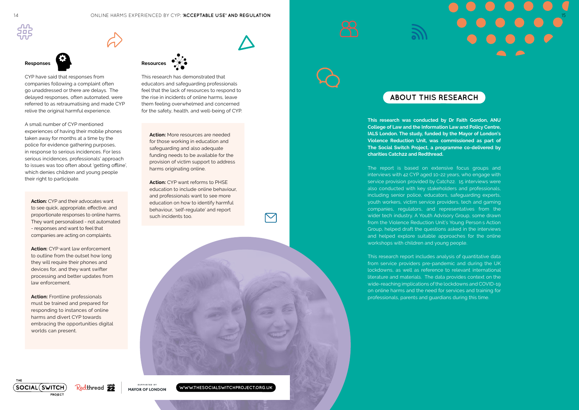A small number of CYP mentioned experiences of having their mobile phones taken away for months at a time by the police for evidence gathering purposes, in response to serious incidences. For less serious incidences, professionals' approach to issues was too often about 'getting offline', which denies children and young people their right to participate.

CYP have said that responses from companies following a complaint often go unaddressed or there are delays. The delayed responses, often automated, were referred to as retraumatising and made CYP relive the original harmful experience.

> **Action:** More resources are needed for those working in education and safeguarding and also adequate funding needs to be available for the provision of victim support to address harms originating online.

**Action:** CYP want reforms to PHSE education to include online behaviour, and professionals want to see more education on how to identify harmful behaviour, 'self-regulate' and report such incidents too. pnline.<br>eforms<br>de onlin<br>want tc<br>to ider<br>gulate'



This research has demonstrated that educators and safeguarding professionals feel that the lack of resources to respond to the rise in incidents of online harms, leave them feeling overwhelmed and concerned for the safety, health, and well-being of CYP.



**This research was conducted by Dr Faith Gordon, ANU College of Law and the Information Law and Policy Centre, IALS London. The study, funded by the Mayor of London's Violence Reduction Unit, was commissioned as part of The Social Switch Project, a programme co-delivered by charities Catch22 and Redthread.** 

proportionate responses to online harms. **Action:** CYP and their advocates want to see quick, appropriate, effective, and They want personalised - not automated - responses and want to feel that companies are acting on complaints.

**Action:** Frontline professionals must be trained and prepared for responding to instances of online harms and divert CYP towards embracing the opportunities digital worlds can present.

The report is based on extensive focus groups and interviews with 42 CYP aged 10-22 years, who engage with service provision provided by Catch22. 15 interviews were also conducted with key stakeholders and professionals, including senior police, educators, safeguarding experts, youth workers, victim service providers, tech and gaming companies, regulators, and representatives from the wider tech industry. A Youth Advisory Group, some drawn from the Violence Reduction Unit's Young Person s Action Group, helped draft the questions asked in the interviews and helped explore suitable approaches for the online workshops with children and young people.

This research report includes analysis of quantitative data from service providers pre-pandemic and during the UK lockdowns, as well as reference to relevant international literature and materials. The data provides context on the wide-reaching implications of the lockdowns and COVID-19 on online harms and the need for services and training for professionals, parents and guardians during this time.

**SOCIAL (SWITCH)** Redthread **22** MAYOR OF LONDON **PROJECT** 

# **ABOUT THIS RESEARCH**

**WWW.THESOCIALSWITCHPROJECT.ORG.UK**

 $\blacktriangledown$ 



#### ONLINE HARMS EXPERIENCED BY CYP: **'ACCEPTABLE USE' AND REGULATION** 14 15



 law enforcement. **Action:** CYP want law enforcement to outline from the outset how long they will require their phones and devices for, and they want swifter processing and better updates from